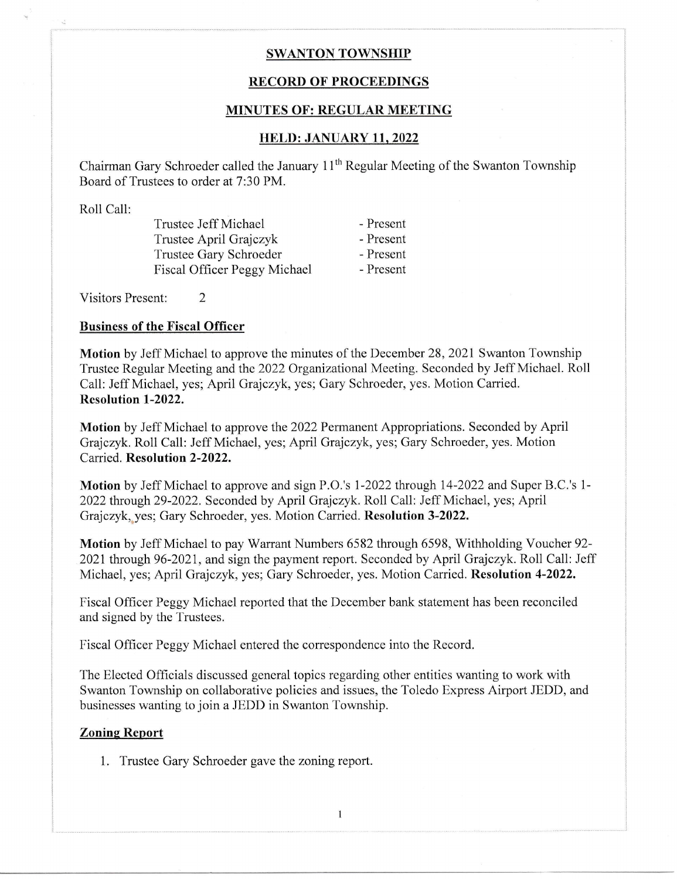## **SWANTON TOWNSHIP**

# RECORD OF PROCEEDINGS

#### MINUTES OF: REGULAR MEETING

# IIELD: JANUARY 11,2022

Chairman Gary Schroeder called the January  $11<sup>th</sup>$  Regular Meeting of the Swanton Township Board of Trustees to order at 7:30 PM.

Roll Call:

Trustee Jeff Michael - Present<br>Trustee April Graiczyk - Present Trustee April Grajczyk - Present<br>Trustee Gary Schroeder - Present Trustee Gary Schroeder - Present<br>Fiscal Officer Peggy Michael - Present Fiscal Officer Peggy Michael

Visitors Present: <sup>2</sup>

#### Business of the Fiscal Officer

Motion by Jeff Michael to approve the minutes of the December 28, 2021 Swanton Township Trustee Regular Meeting and the 2022 Organizational Meeting. Seconded by Jeff Michael. Roll Call: Jeff Michael, yes; April Grajczyk, yes; Gary Schroeder, yes. Motion Carried. Resolution l-2022.

Motion by Jeff Michael to approve the 2022 Permanent Appropriations. Seconded by April Grajczyk. Roll Call: Jeff Michael, yes;April Grajczyk, yes; Gary Schroeder, yes. Motion Carried. Resolution 2-2022.

Motion by Jeff Michael to approve and sign P.O.'s l-2022 through 14-2022 and Super B.C.'s 1- 2022 through 29-2022. Seconded by April Grajczyk. Roll Call: Jeff Michael, yes; April Grajczyk, yes; Gary Schroeder, yes. Motion Carried. Resolution 3-2022.

Motion by Jeff Michael to pay Warrant Numbers 6582 through 6598, Withholding Voucher 92- 2021 through 96-2021, and sign the payment report. Seconded by April Grajczyk. Roll Call: Jeff Michael, yes; April Grajczyk, yes; Gary Schroeder, yes. Motion Carried. Resolution 4-2022.

Fiscal Officer Peggy Michael reported that the December bank statement has been reconciled and signed by the Trustees.

Fiscal Officer Peggy Michael entered the correspondence into the Record.

The Elected Officials discussed general topics regarding other entities wanting to work with Swanton Township on collaborative policies and issues, the Toledo Express Airport JEDD, and businesses wanting to join a JEDD in Swanton Township.

 $\mathbf{1}$ 

### Zoning Report

1. Trustee Gary Schroeder gave the zoning report.